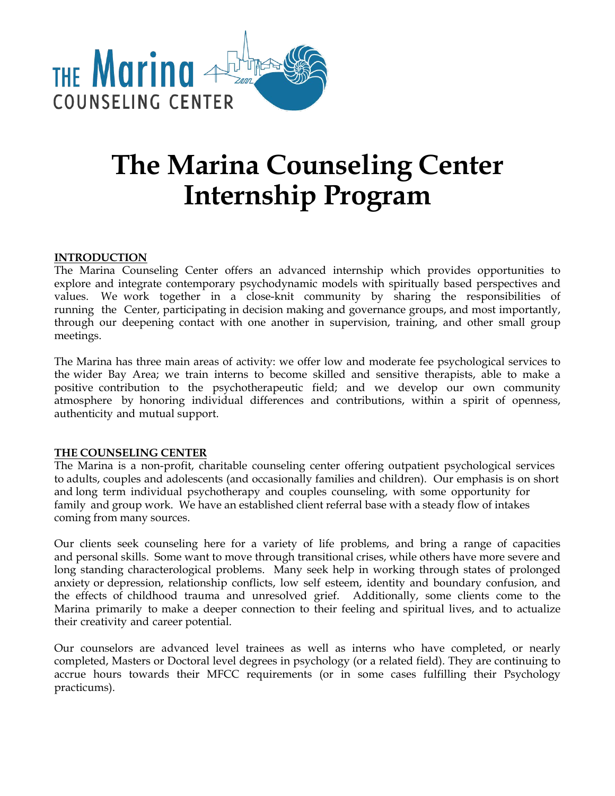

# **The Marina Counseling Center Internship Program**

## **INTRODUCTION**

The Marina Counseling Center offers an advanced internship which provides opportunities to explore and integrate contemporary psychodynamic models with spiritually based perspectives and values. We work together in a close-knit community by sharing the responsibilities of running the Center, participating in decision making and governance groups, and most importantly, through our deepening contact with one another in supervision, training, and other small group meetings.

The Marina has three main areas of activity: we offer low and moderate fee psychological services to the wider Bay Area; we train interns to become skilled and sensitive therapists, able to make a positive contribution to the psychotherapeutic field; and we develop our own community atmosphere by honoring individual differences and contributions, within a spirit of openness, authenticity and mutual support.

## **THE COUNSELING CENTER**

The Marina is a non-profit, charitable counseling center offering outpatient psychological services to adults, couples and adolescents (and occasionally families and children). Our emphasis is on short and long term individual psychotherapy and couples counseling, with some opportunity for family and group work. We have an established client referral base with a steady flow of intakes coming from many sources.

Our clients seek counseling here for a variety of life problems, and bring a range of capacities and personal skills. Some want to move through transitional crises, while others have more severe and long standing characterological problems. Many seek help in working through states of prolonged anxiety or depression, relationship conflicts, low self esteem, identity and boundary confusion, and the effects of childhood trauma and unresolved grief. Additionally, some clients come to the Marina primarily to make a deeper connection to their feeling and spiritual lives, and to actualize their creativity and career potential.

Our counselors are advanced level trainees as well as interns who have completed, or nearly completed, Masters or Doctoral level degrees in psychology (or a related field). They are continuing to accrue hours towards their MFCC requirements (or in some cases fulfilling their Psychology practicums).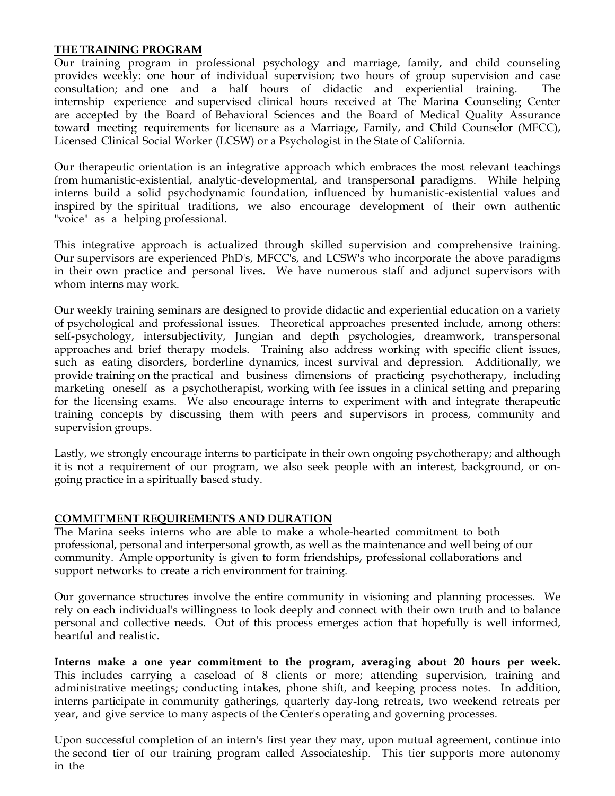### **THE TRAINING PROGRAM**

Our training program in professional psychology and marriage, family, and child counseling provides weekly: one hour of individual supervision; two hours of group supervision and case consultation; and one and a half hours of didactic and experiential training. The internship experience and supervised clinical hours received at The Marina Counseling Center are accepted by the Board of Behavioral Sciences and the Board of Medical Quality Assurance toward meeting requirements for licensure as a Marriage, Family, and Child Counselor (MFCC), Licensed Clinical Social Worker (LCSW) or a Psychologist in the State of California.

Our therapeutic orientation is an integrative approach which embraces the most relevant teachings from humanistic-existential, analytic-developmental, and transpersonal paradigms. While helping interns build a solid psychodynamic foundation, influenced by humanistic-existential values and inspired by the spiritual traditions, we also encourage development of their own authentic "voice" as a helping professional.

This integrative approach is actualized through skilled supervision and comprehensive training. Our supervisors are experienced PhD's, MFCC's, and LCSW's who incorporate the above paradigms in their own practice and personal lives. We have numerous staff and adjunct supervisors with whom interns may work.

Our weekly training seminars are designed to provide didactic and experiential education on a variety of psychological and professional issues. Theoretical approaches presented include, among others: self-psychology, intersubjectivity, Jungian and depth psychologies, dreamwork, transpersonal approaches and brief therapy models. Training also address working with specific client issues, such as eating disorders, borderline dynamics, incest survival and depression. Additionally, we provide training on the practical and business dimensions of practicing psychotherapy, including marketing oneself as a psychotherapist, working with fee issues in a clinical setting and preparing for the licensing exams. We also encourage interns to experiment with and integrate therapeutic training concepts by discussing them with peers and supervisors in process, community and supervision groups.

Lastly, we strongly encourage interns to participate in their own ongoing psychotherapy; and although it is not a requirement of our program, we also seek people with an interest, background, or ongoing practice in a spiritually based study.

#### **COMMITMENT REQUIREMENTS AND DURATION**

The Marina seeks interns who are able to make a whole-hearted commitment to both professional, personal and interpersonal growth, as well as the maintenance and well being of our community. Ample opportunity is given to form friendships, professional collaborations and support networks to create a rich environment for training.

Our governance structures involve the entire community in visioning and planning processes. We rely on each individual's willingness to look deeply and connect with their own truth and to balance personal and collective needs. Out of this process emerges action that hopefully is well informed, heartful and realistic.

**Interns make a one year commitment to the program, averaging about 20 hours per week.** This includes carrying a caseload of 8 clients or more; attending supervision, training and administrative meetings; conducting intakes, phone shift, and keeping process notes. In addition, interns participate in community gatherings, quarterly day-long retreats, two weekend retreats per year, and give service to many aspects of the Center's operating and governing processes.

Upon successful completion of an intern's first year they may, upon mutual agreement, continue into the second tier of our training program called Associateship. This tier supports more autonomy in the